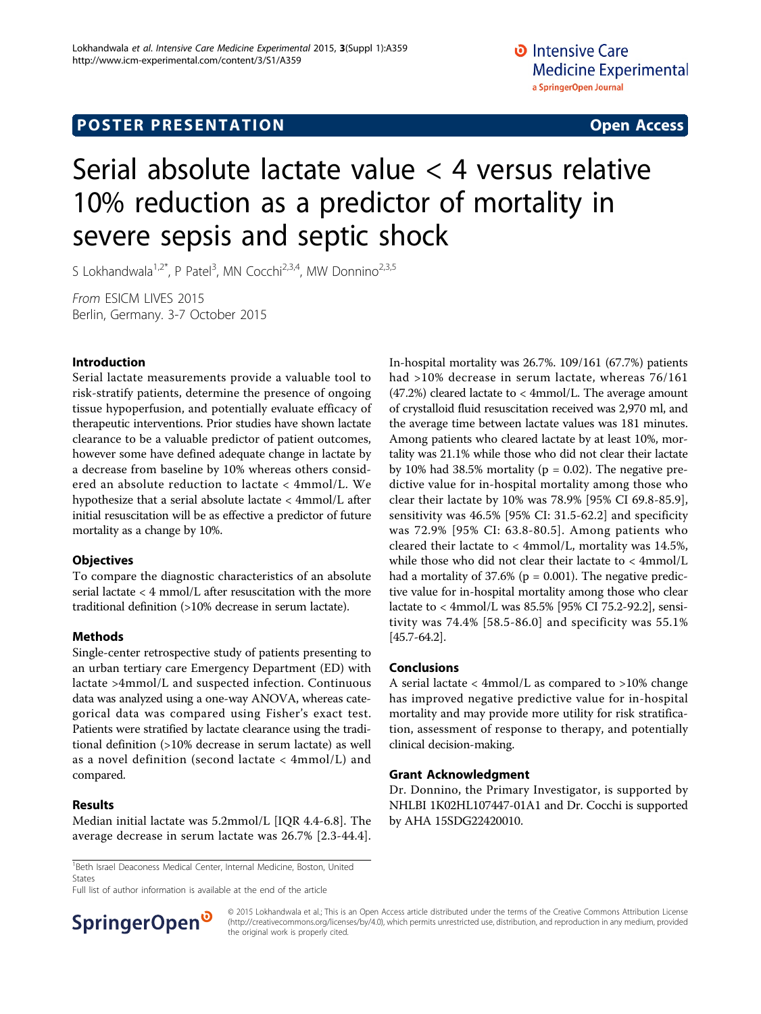# Serial absolute lactate value < 4 versus relative 10% reduction as a predictor of mortality in severe sepsis and septic shock

S Lokhandwala<sup>1,2\*</sup>, P Patel<sup>3</sup>, MN Cocchi<sup>2,3,4</sup>, MW Donnino<sup>2,3,5</sup>

From ESICM LIVES 2015 Berlin, Germany. 3-7 October 2015

# Introduction

Serial lactate measurements provide a valuable tool to risk-stratify patients, determine the presence of ongoing tissue hypoperfusion, and potentially evaluate efficacy of therapeutic interventions. Prior studies have shown lactate clearance to be a valuable predictor of patient outcomes, however some have defined adequate change in lactate by a decrease from baseline by 10% whereas others considered an absolute reduction to lactate < 4mmol/L. We hypothesize that a serial absolute lactate < 4mmol/L after initial resuscitation will be as effective a predictor of future mortality as a change by 10%.

# **Objectives**

To compare the diagnostic characteristics of an absolute serial lactate < 4 mmol/L after resuscitation with the more traditional definition (>10% decrease in serum lactate).

# Methods

Single-center retrospective study of patients presenting to an urban tertiary care Emergency Department (ED) with lactate >4mmol/L and suspected infection. Continuous data was analyzed using a one-way ANOVA, whereas categorical data was compared using Fisher's exact test. Patients were stratified by lactate clearance using the traditional definition (>10% decrease in serum lactate) as well as a novel definition (second lactate < 4mmol/L) and compared.

# Results

Median initial lactate was 5.2mmol/L [IQR 4.4-6.8]. The average decrease in serum lactate was 26.7% [2.3-44.4].

<sup>1</sup> Beth Israel Deaconess Medical Center, Internal Medicine, Boston, United States

Full list of author information is available at the end of the article



In-hospital mortality was 26.7%. 109/161 (67.7%) patients had >10% decrease in serum lactate, whereas 76/161 (47.2%) cleared lactate to < 4mmol/L. The average amount of crystalloid fluid resuscitation received was 2,970 ml, and the average time between lactate values was 181 minutes. Among patients who cleared lactate by at least 10%, mortality was 21.1% while those who did not clear their lactate by 10% had 38.5% mortality ( $p = 0.02$ ). The negative predictive value for in-hospital mortality among those who clear their lactate by 10% was 78.9% [95% CI 69.8-85.9], sensitivity was 46.5% [95% CI: 31.5-62.2] and specificity was 72.9% [95% CI: 63.8-80.5]. Among patients who cleared their lactate to < 4mmol/L, mortality was 14.5%, while those who did not clear their lactate to < 4mmol/L had a mortality of  $37.6\%$  (p = 0.001). The negative predictive value for in-hospital mortality among those who clear lactate to < 4mmol/L was 85.5% [95% CI 75.2-92.2], sensitivity was 74.4% [58.5-86.0] and specificity was 55.1% [45.7-64.2].

# Conclusions

A serial lactate < 4mmol/L as compared to >10% change has improved negative predictive value for in-hospital mortality and may provide more utility for risk stratification, assessment of response to therapy, and potentially clinical decision-making.

## Grant Acknowledgment

Dr. Donnino, the Primary Investigator, is supported by NHLBI 1K02HL107447-01A1 and Dr. Cocchi is supported by AHA 15SDG22420010.

<sup>© 2015</sup> Lokhandwala et al.; This is an Open Access article distributed under the terms of the Creative Commons Attribution License [\(http://creativecommons.org/licenses/by/4.0](http://creativecommons.org/licenses/by/4.0)), which permits unrestricted use, distribution, and reproduction in any medium, provided the original work is properly cited.